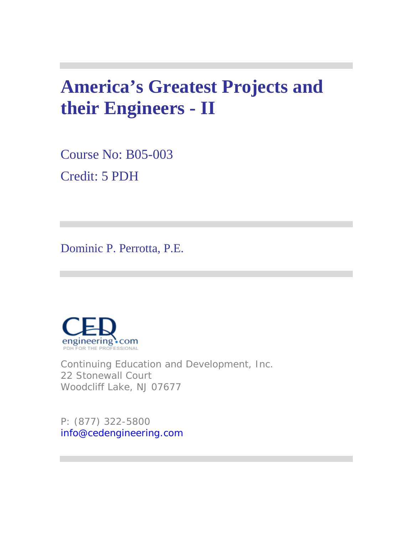# **America's Greatest Projects and their Engineers - II**

Course No: B05-003 Credit: 5 PDH

Dominic P. Perrotta, P.E.



Continuing Education and Development, Inc. 22 Stonewall Court Woodcliff Lake, NJ 07677

P: (877) 322-5800 info@cedengineering.com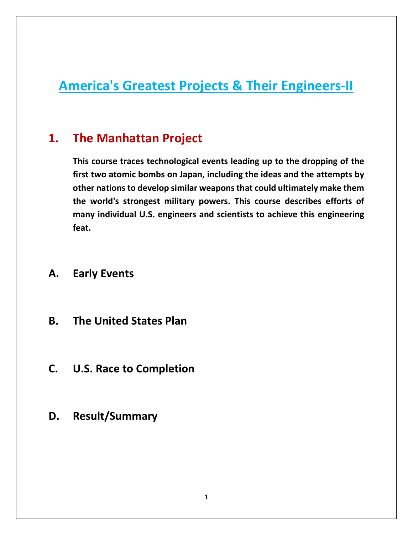# **America's Greatest Projects & Their Engineers-II**

# **1. The Manhattan Project**

**This course traces technological events leading up to the dropping of the first two atomic bombs on Japan, including the ideas and the attempts by other nations to develop similar weaponsthat could ultimately make them the world's strongest military powers. This course describes efforts of many individual U.S. engineers and scientists to achieve this engineering feat.**

### **A. Early Events**

- **B. The United States Plan**
- **C. U.S. Race to Completion**
- **D. Result/Summary**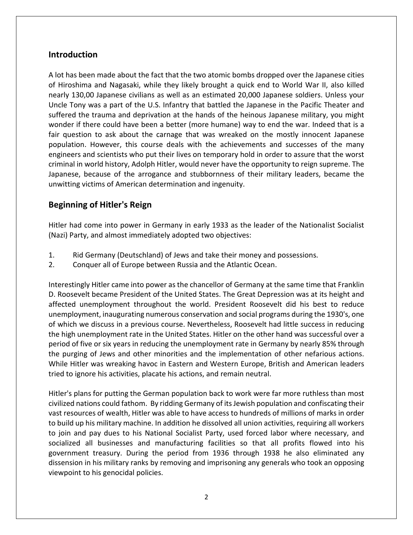#### **Introduction**

A lot has been made about the fact that the two atomic bombs dropped over the Japanese cities of Hiroshima and Nagasaki, while they likely brought a quick end to World War II, also killed nearly 130,00 Japanese civilians as well as an estimated 20,000 Japanese soldiers. Unless your Uncle Tony was a part of the U.S. Infantry that battled the Japanese in the Pacific Theater and suffered the trauma and deprivation at the hands of the heinous Japanese military, you might wonder if there could have been a better (more humane) way to end the war. Indeed that is a fair question to ask about the carnage that was wreaked on the mostly innocent Japanese population. However, this course deals with the achievements and successes of the many engineers and scientists who put their lives on temporary hold in order to assure that the worst criminal in world history, Adolph Hitler, would never have the opportunity to reign supreme. The Japanese, because of the arrogance and stubbornness of their military leaders, became the unwitting victims of American determination and ingenuity.

#### **Beginning of Hitler's Reign**

Hitler had come into power in Germany in early 1933 as the leader of the Nationalist Socialist (Nazi) Party, and almost immediately adopted two objectives:

- 1. Rid Germany (Deutschland) of Jews and take their money and possessions.
- 2. Conquer all of Europe between Russia and the Atlantic Ocean.

Interestingly Hitler came into power as the chancellor of Germany at the same time that Franklin D. Roosevelt became President of the United States. The Great Depression was at its height and affected unemployment throughout the world. President Roosevelt did his best to reduce unemployment, inaugurating numerous conservation and social programs during the 1930's, one of which we discuss in a previous course. Nevertheless, Roosevelt had little success in reducing the high unemployment rate in the United States. Hitler on the other hand was successful over a period of five or six years in reducing the unemployment rate in Germany by nearly 85% through the purging of Jews and other minorities and the implementation of other nefarious actions. While Hitler was wreaking havoc in Eastern and Western Europe, British and American leaders tried to ignore his activities, placate his actions, and remain neutral.

Hitler's plans for putting the German population back to work were far more ruthless than most civilized nations could fathom. By ridding Germany of its Jewish population and confiscating their vast resources of wealth, Hitler was able to have access to hundreds of millions of marks in order to build up his military machine. In addition he dissolved all union activities, requiring all workers to join and pay dues to his National Socialist Party, used forced labor where necessary, and socialized all businesses and manufacturing facilities so that all profits flowed into his government treasury. During the period from 1936 through 1938 he also eliminated any dissension in his military ranks by removing and imprisoning any generals who took an opposing viewpoint to his genocidal policies.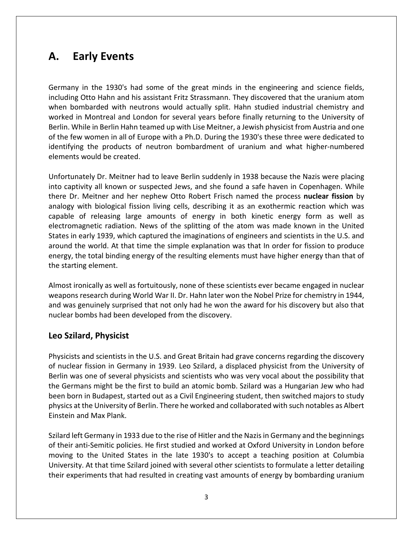# **A. Early Events**

Germany in the 1930's had some of the great minds in the engineering and science fields, including Otto Hahn and his assistant Fritz Strassmann. They discovered that the uranium atom when bombarded with neutrons would actually split. Hahn studied industrial chemistry and worked in Montreal and London for several years before finally returning to the University of Berlin. While in Berlin Hahn teamed up with Lise Meitner, a Jewish physicist from Austria and one of the few women in all of Europe with a Ph.D. During the 1930's these three were dedicated to identifying the products of neutron bombardment of uranium and what higher-numbered elements would be created.

Unfortunately Dr. Meitner had to leave Berlin suddenly in 1938 because the Nazis were placing into captivity all known or suspected Jews, and she found a safe haven in Copenhagen. While there Dr. Meitner and her nephew Otto Robert Frisch named the process **nuclear fission** by analogy with biological fission living cells, describing it as an exothermic reaction which was capable of releasing large amounts of energy in both kinetic energy form as well as electromagnetic radiation. News of the splitting of the atom was made known in the United States in early 1939, which captured the imaginations of engineers and scientists in the U.S. and around the world. At that time the simple explanation was that In order for fission to produce energy, the total binding energy of the resulting elements must have higher energy than that of the starting element.

Almost ironically as well as fortuitously, none of these scientists ever became engaged in nuclear weapons research during World War II. Dr. Hahn later won the Nobel Prize for chemistry in 1944, and was genuinely surprised that not only had he won the award for his discovery but also that nuclear bombs had been developed from the discovery.

#### **Leo Szilard, Physicist**

Physicists and scientists in the U.S. and Great Britain had grave concerns regarding the discovery of nuclear fission in Germany in 1939. Leo Szilard, a displaced physicist from the University of Berlin was one of several physicists and scientists who was very vocal about the possibility that the Germans might be the first to build an atomic bomb. Szilard was a Hungarian Jew who had been born in Budapest, started out as a Civil Engineering student, then switched majors to study physics at the University of Berlin. There he worked and collaborated with such notables as Albert Einstein and Max Plank.

Szilard left Germany in 1933 due to the rise of Hitler and the Nazis in Germany and the beginnings of their anti-Semitic policies. He first studied and worked at Oxford University in London before moving to the United States in the late 1930's to accept a teaching position at Columbia University. At that time Szilard joined with several other scientists to formulate a letter detailing their experiments that had resulted in creating vast amounts of energy by bombarding uranium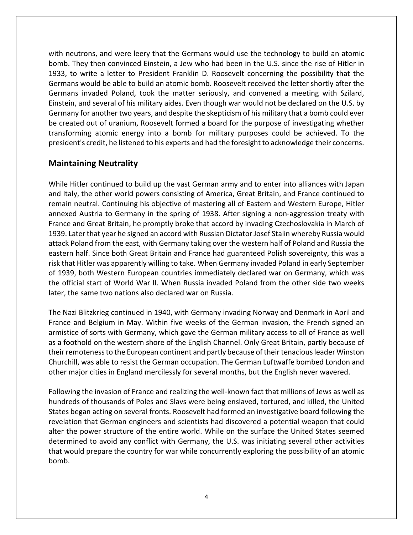with neutrons, and were leery that the Germans would use the technology to build an atomic bomb. They then convinced Einstein, a Jew who had been in the U.S. since the rise of Hitler in 1933, to write a letter to President Franklin D. Roosevelt concerning the possibility that the Germans would be able to build an atomic bomb. Roosevelt received the letter shortly after the Germans invaded Poland, took the matter seriously, and convened a meeting with Szilard, Einstein, and several of his military aides. Even though war would not be declared on the U.S. by Germany for another two years, and despite the skepticism of his military that a bomb could ever be created out of uranium, Roosevelt formed a board for the purpose of investigating whether transforming atomic energy into a bomb for military purposes could be achieved. To the president's credit, he listened to his experts and had the foresight to acknowledge their concerns.

#### **Maintaining Neutrality**

While Hitler continued to build up the vast German army and to enter into alliances with Japan and Italy, the other world powers consisting of America, Great Britain, and France continued to remain neutral. Continuing his objective of mastering all of Eastern and Western Europe, Hitler annexed Austria to Germany in the spring of 1938. After signing a non-aggression treaty with France and Great Britain, he promptly broke that accord by invading Czechoslovakia in March of 1939. Later that year he signed an accord with Russian Dictator Josef Stalin whereby Russia would attack Poland from the east, with Germany taking over the western half of Poland and Russia the eastern half. Since both Great Britain and France had guaranteed Polish sovereignty, this was a risk that Hitler was apparently willing to take. When Germany invaded Poland in early September of 1939, both Western European countries immediately declared war on Germany, which was the official start of World War II. When Russia invaded Poland from the other side two weeks later, the same two nations also declared war on Russia.

The Nazi Blitzkrieg continued in 1940, with Germany invading Norway and Denmark in April and France and Belgium in May. Within five weeks of the German invasion, the French signed an armistice of sorts with Germany, which gave the German military access to all of France as well as a foothold on the western shore of the English Channel. Only Great Britain, partly because of their remoteness to the European continent and partly because of their tenacious leader Winston Churchill, was able to resist the German occupation. The German Luftwaffe bombed London and other major cities in England mercilessly for several months, but the English never wavered.

Following the invasion of France and realizing the well-known fact that millions of Jews as well as hundreds of thousands of Poles and Slavs were being enslaved, tortured, and killed, the United States began acting on several fronts. Roosevelt had formed an investigative board following the revelation that German engineers and scientists had discovered a potential weapon that could alter the power structure of the entire world. While on the surface the United States seemed determined to avoid any conflict with Germany, the U.S. was initiating several other activities that would prepare the country for war while concurrently exploring the possibility of an atomic bomb.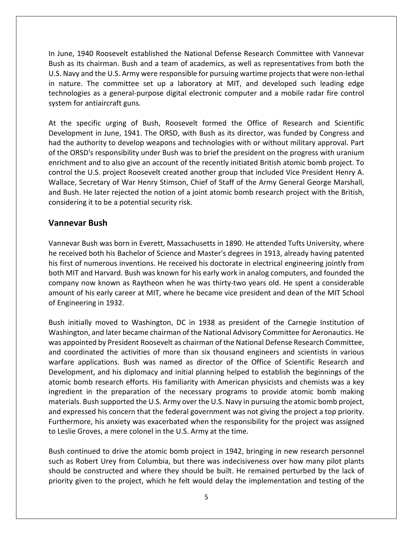In June, 1940 Roosevelt established the National Defense Research Committee with Vannevar Bush as its chairman. Bush and a team of academics, as well as representatives from both the U.S. Navy and the U.S. Army were responsible for pursuing wartime projects that were non-lethal in nature. The committee set up a laboratory at MIT, and developed such leading edge technologies as a general-purpose digital electronic computer and a mobile radar fire control system for antiaircraft guns.

At the specific urging of Bush, Roosevelt formed the Office of Research and Scientific Development in June, 1941. The ORSD, with Bush as its director, was funded by Congress and had the authority to develop weapons and technologies with or without military approval. Part of the ORSD's responsibility under Bush was to brief the president on the progress with uranium enrichment and to also give an account of the recently initiated British atomic bomb project. To control the U.S. project Roosevelt created another group that included Vice President Henry A. Wallace, Secretary of War Henry Stimson, Chief of Staff of the Army General George Marshall, and Bush. He later rejected the notion of a joint atomic bomb research project with the British, considering it to be a potential security risk.

#### **Vannevar Bush**

Vannevar Bush was born in Everett, Massachusetts in 1890. He attended Tufts University, where he received both his Bachelor of Science and Master's degrees in 1913, already having patented his first of numerous inventions. He received his doctorate in electrical engineering jointly from both MIT and Harvard. Bush was known for his early work in analog computers, and founded the company now known as Raytheon when he was thirty-two years old. He spent a considerable amount of his early career at MIT, where he became vice president and dean of the MIT School of Engineering in 1932.

Bush initially moved to Washington, DC in 1938 as president of the Carnegie Institution of Washington, and later became chairman of the National Advisory Committee for Aeronautics. He was appointed by President Roosevelt as chairman of the National Defense Research Committee, and coordinated the activities of more than six thousand engineers and scientists in various warfare applications. Bush was named as director of the Office of Scientific Research and Development, and his diplomacy and initial planning helped to establish the beginnings of the atomic bomb research efforts. His familiarity with American physicists and chemists was a key ingredient in the preparation of the necessary programs to provide atomic bomb making materials. Bush supported the U.S. Army over the U.S. Navy in pursuing the atomic bomb project, and expressed his concern that the federal government was not giving the project a top priority. Furthermore, his anxiety was exacerbated when the responsibility for the project was assigned to Leslie Groves, a mere colonel in the U.S. Army at the time.

Bush continued to drive the atomic bomb project in 1942, bringing in new research personnel such as Robert Urey from Columbia, but there was indecisiveness over how many pilot plants should be constructed and where they should be built. He remained perturbed by the lack of priority given to the project, which he felt would delay the implementation and testing of the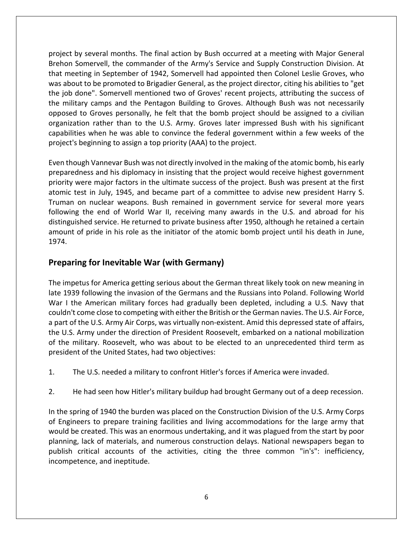project by several months. The final action by Bush occurred at a meeting with Major General Brehon Somervell, the commander of the Army's Service and Supply Construction Division. At that meeting in September of 1942, Somervell had appointed then Colonel Leslie Groves, who was about to be promoted to Brigadier General, as the project director, citing his abilities to "get the job done". Somervell mentioned two of Groves' recent projects, attributing the success of the military camps and the Pentagon Building to Groves. Although Bush was not necessarily opposed to Groves personally, he felt that the bomb project should be assigned to a civilian organization rather than to the U.S. Army. Groves later impressed Bush with his significant capabilities when he was able to convince the federal government within a few weeks of the project's beginning to assign a top priority (AAA) to the project.

Even though Vannevar Bush was not directly involved in the making of the atomic bomb, his early preparedness and his diplomacy in insisting that the project would receive highest government priority were major factors in the ultimate success of the project. Bush was present at the first atomic test in July, 1945, and became part of a committee to advise new president Harry S. Truman on nuclear weapons. Bush remained in government service for several more years following the end of World War II, receiving many awards in the U.S. and abroad for his distinguished service. He returned to private business after 1950, although he retained a certain amount of pride in his role as the initiator of the atomic bomb project until his death in June, 1974.

#### **Preparing for Inevitable War (with Germany)**

The impetus for America getting serious about the German threat likely took on new meaning in late 1939 following the invasion of the Germans and the Russians into Poland. Following World War I the American military forces had gradually been depleted, including a U.S. Navy that couldn't come close to competing with either the British or the German navies. The U.S. Air Force, a part of the U.S. Army Air Corps, was virtually non-existent. Amid this depressed state of affairs, the U.S. Army under the direction of President Roosevelt, embarked on a national mobilization of the military. Roosevelt, who was about to be elected to an unprecedented third term as president of the United States, had two objectives:

- 1. The U.S. needed a military to confront Hitler's forces if America were invaded.
- 2. He had seen how Hitler's military buildup had brought Germany out of a deep recession.

In the spring of 1940 the burden was placed on the Construction Division of the U.S. Army Corps of Engineers to prepare training facilities and living accommodations for the large army that would be created. This was an enormous undertaking, and it was plagued from the start by poor planning, lack of materials, and numerous construction delays. National newspapers began to publish critical accounts of the activities, citing the three common "in's": inefficiency, incompetence, and ineptitude.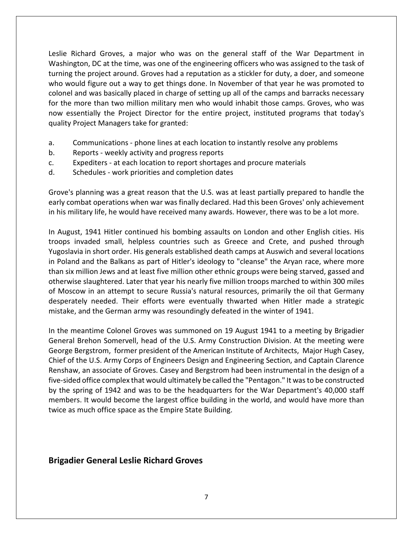Leslie Richard Groves, a major who was on the general staff of the War Department in Washington, DC at the time, was one of the engineering officers who was assigned to the task of turning the project around. Groves had a reputation as a stickler for duty, a doer, and someone who would figure out a way to get things done. In November of that year he was promoted to colonel and was basically placed in charge of setting up all of the camps and barracks necessary for the more than two million military men who would inhabit those camps. Groves, who was now essentially the Project Director for the entire project, instituted programs that today's quality Project Managers take for granted:

- a. Communications phone lines at each location to instantly resolve any problems
- b. Reports weekly activity and progress reports
- c. Expediters at each location to report shortages and procure materials
- d. Schedules work priorities and completion dates

Grove's planning was a great reason that the U.S. was at least partially prepared to handle the early combat operations when war was finally declared. Had this been Groves' only achievement in his military life, he would have received many awards. However, there was to be a lot more.

In August, 1941 Hitler continued his bombing assaults on London and other English cities. His troops invaded small, helpless countries such as Greece and Crete, and pushed through Yugoslavia in short order. His generals established death camps at Auswich and several locations in Poland and the Balkans as part of Hitler's ideology to "cleanse" the Aryan race, where more than six million Jews and at least five million other ethnic groups were being starved, gassed and otherwise slaughtered. Later that year his nearly five million troops marched to within 300 miles of Moscow in an attempt to secure Russia's natural resources, primarily the oil that Germany desperately needed. Their efforts were eventually thwarted when Hitler made a strategic mistake, and the German army was resoundingly defeated in the winter of 1941.

In the meantime Colonel Groves was summoned on 19 August 1941 to a meeting by Brigadier General Brehon Somervell, head of the U.S. Army Construction Division. At the meeting were George Bergstrom, former president of the American Institute of Architects, Major Hugh Casey, Chief of the U.S. Army Corps of Engineers Design and Engineering Section, and Captain Clarence Renshaw, an associate of Groves. Casey and Bergstrom had been instrumental in the design of a five-sided office complex that would ultimately be called the "Pentagon." It was to be constructed by the spring of 1942 and was to be the headquarters for the War Department's 40,000 staff members. It would become the largest office building in the world, and would have more than twice as much office space as the Empire State Building.

#### **Brigadier General Leslie Richard Groves**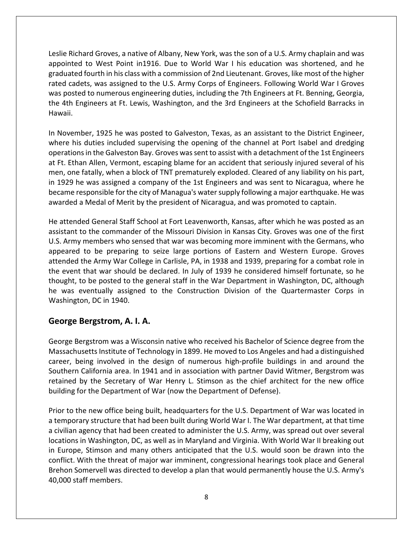Leslie Richard Groves, a native of Albany, New York, was the son of a U.S. Army chaplain and was appointed to West Point in1916. Due to World War I his education was shortened, and he graduated fourth in his class with a commission of 2nd Lieutenant. Groves, like most of the higher rated cadets, was assigned to the U.S. Army Corps of Engineers. Following World War I Groves was posted to numerous engineering duties, including the 7th Engineers at Ft. Benning, Georgia, the 4th Engineers at Ft. Lewis, Washington, and the 3rd Engineers at the Schofield Barracks in Hawaii.

In November, 1925 he was posted to Galveston, Texas, as an assistant to the District Engineer, where his duties included supervising the opening of the channel at Port Isabel and dredging operations in the Galveston Bay. Groves was sent to assist with a detachment of the 1st Engineers at Ft. Ethan Allen, Vermont, escaping blame for an accident that seriously injured several of his men, one fatally, when a block of TNT prematurely exploded. Cleared of any liability on his part, in 1929 he was assigned a company of the 1st Engineers and was sent to Nicaragua, where he became responsible for the city of Managua's water supply following a major earthquake. He was awarded a Medal of Merit by the president of Nicaragua, and was promoted to captain.

He attended General Staff School at Fort Leavenworth, Kansas, after which he was posted as an assistant to the commander of the Missouri Division in Kansas City. Groves was one of the first U.S. Army members who sensed that war was becoming more imminent with the Germans, who appeared to be preparing to seize large portions of Eastern and Western Europe. Groves attended the Army War College in Carlisle, PA, in 1938 and 1939, preparing for a combat role in the event that war should be declared. In July of 1939 he considered himself fortunate, so he thought, to be posted to the general staff in the War Department in Washington, DC, although he was eventually assigned to the Construction Division of the Quartermaster Corps in Washington, DC in 1940.

#### **George Bergstrom, A. I. A.**

George Bergstrom was a Wisconsin native who received his Bachelor of Science degree from the Massachusetts Institute of Technology in 1899. He moved to Los Angeles and had a distinguished career, being involved in the design of numerous high-profile buildings in and around the Southern California area. In 1941 and in association with partner David Witmer, Bergstrom was retained by the Secretary of War Henry L. Stimson as the chief architect for the new office building for the Department of War (now the Department of Defense).

Prior to the new office being built, headquarters for the U.S. Department of War was located in a temporary structure that had been built during World War I. The War department, at that time a civilian agency that had been created to administer the U.S. Army, was spread out over several locations in Washington, DC, as well as in Maryland and Virginia. With World War II breaking out in Europe, Stimson and many others anticipated that the U.S. would soon be drawn into the conflict. With the threat of major war imminent, congressional hearings took place and General Brehon Somervell was directed to develop a plan that would permanently house the U.S. Army's 40,000 staff members.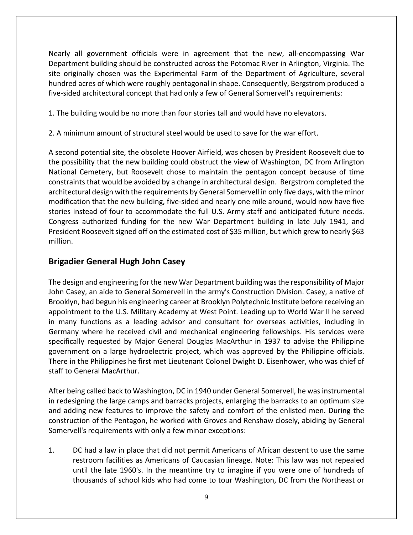Nearly all government officials were in agreement that the new, all-encompassing War Department building should be constructed across the Potomac River in Arlington, Virginia. The site originally chosen was the Experimental Farm of the Department of Agriculture, several hundred acres of which were roughly pentagonal in shape. Consequently, Bergstrom produced a five-sided architectural concept that had only a few of General Somervell's requirements:

1. The building would be no more than four stories tall and would have no elevators.

2. A minimum amount of structural steel would be used to save for the war effort.

A second potential site, the obsolete Hoover Airfield, was chosen by President Roosevelt due to the possibility that the new building could obstruct the view of Washington, DC from Arlington National Cemetery, but Roosevelt chose to maintain the pentagon concept because of time constraints that would be avoided by a change in architectural design. Bergstrom completed the architectural design with the requirements by General Somervell in only five days, with the minor modification that the new building, five-sided and nearly one mile around, would now have five stories instead of four to accommodate the full U.S. Army staff and anticipated future needs. Congress authorized funding for the new War Department building in late July 1941, and President Roosevelt signed off on the estimated cost of \$35 million, but which grew to nearly \$63 million.

#### **Brigadier General Hugh John Casey**

The design and engineering for the new War Department building was the responsibility of Major John Casey, an aide to General Somervell in the army's Construction Division. Casey, a native of Brooklyn, had begun his engineering career at Brooklyn Polytechnic Institute before receiving an appointment to the U.S. Military Academy at West Point. Leading up to World War II he served in many functions as a leading advisor and consultant for overseas activities, including in Germany where he received civil and mechanical engineering fellowships. His services were specifically requested by Major General Douglas MacArthur in 1937 to advise the Philippine government on a large hydroelectric project, which was approved by the Philippine officials. There in the Philippines he first met Lieutenant Colonel Dwight D. Eisenhower, who was chief of staff to General MacArthur.

After being called back to Washington, DC in 1940 under General Somervell, he was instrumental in redesigning the large camps and barracks projects, enlarging the barracks to an optimum size and adding new features to improve the safety and comfort of the enlisted men. During the construction of the Pentagon, he worked with Groves and Renshaw closely, abiding by General Somervell's requirements with only a few minor exceptions:

1. DC had a law in place that did not permit Americans of African descent to use the same restroom facilities as Americans of Caucasian lineage. Note: This law was not repealed until the late 1960's. In the meantime try to imagine if you were one of hundreds of thousands of school kids who had come to tour Washington, DC from the Northeast or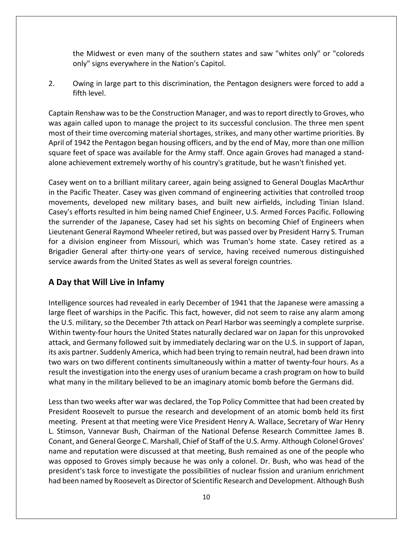the Midwest or even many of the southern states and saw "whites only" or "coloreds only" signs everywhere in the Nation's Capitol.

2. Owing in large part to this discrimination, the Pentagon designers were forced to add a fifth level.

Captain Renshaw was to be the Construction Manager, and was to report directly to Groves, who was again called upon to manage the project to its successful conclusion. The three men spent most of their time overcoming material shortages, strikes, and many other wartime priorities. By April of 1942 the Pentagon began housing officers, and by the end of May, more than one million square feet of space was available for the Army staff. Once again Groves had managed a standalone achievement extremely worthy of his country's gratitude, but he wasn't finished yet.

Casey went on to a brilliant military career, again being assigned to General Douglas MacArthur in the Pacific Theater. Casey was given command of engineering activities that controlled troop movements, developed new military bases, and built new airfields, including Tinian Island. Casey's efforts resulted in him being named Chief Engineer, U.S. Armed Forces Pacific. Following the surrender of the Japanese, Casey had set his sights on becoming Chief of Engineers when Lieutenant General Raymond Wheeler retired, but was passed over by President Harry S. Truman for a division engineer from Missouri, which was Truman's home state. Casey retired as a Brigadier General after thirty-one years of service, having received numerous distinguished service awards from the United States as well as several foreign countries.

#### **A Day that Will Live in Infamy**

Intelligence sources had revealed in early December of 1941 that the Japanese were amassing a large fleet of warships in the Pacific. This fact, however, did not seem to raise any alarm among the U.S. military, so the December 7th attack on Pearl Harbor was seemingly a complete surprise. Within twenty-four hours the United States naturally declared war on Japan for this unprovoked attack, and Germany followed suit by immediately declaring war on the U.S. in support of Japan, its axis partner. Suddenly America, which had been trying to remain neutral, had been drawn into two wars on two different continents simultaneously within a matter of twenty-four hours. As a result the investigation into the energy uses of uranium became a crash program on how to build what many in the military believed to be an imaginary atomic bomb before the Germans did.

Less than two weeks after war was declared, the Top Policy Committee that had been created by President Roosevelt to pursue the research and development of an atomic bomb held its first meeting. Present at that meeting were Vice President Henry A. Wallace, Secretary of War Henry L. Stimson, Vannevar Bush, Chairman of the National Defense Research Committee James B. Conant, and General George C. Marshall, Chief of Staff of the U.S. Army. Although Colonel Groves' name and reputation were discussed at that meeting, Bush remained as one of the people who was opposed to Groves simply because he was only a colonel. Dr. Bush, who was head of the president's task force to investigate the possibilities of nuclear fission and uranium enrichment had been named by Roosevelt as Director of Scientific Research and Development. Although Bush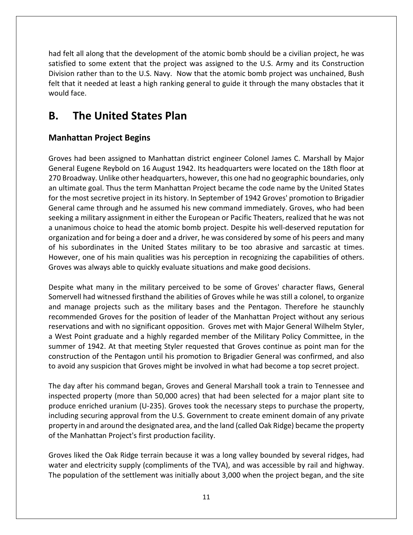had felt all along that the development of the atomic bomb should be a civilian project, he was satisfied to some extent that the project was assigned to the U.S. Army and its Construction Division rather than to the U.S. Navy.Now that the atomic bomb project was unchained, Bush felt that it needed at least a high ranking general to guide it through the many obstacles that it would face.

# **B. The United States Plan**

### **Manhattan Project Begins**

Groves had been assigned to Manhattan district engineer Colonel James C. Marshall by Major General Eugene Reybold on 16 August 1942. Its headquarters were located on the 18th floor at 270 Broadway. Unlike other headquarters, however, this one had no geographic boundaries, only an ultimate goal. Thus the term Manhattan Project became the code name by the United States for the most secretive project in its history. In September of 1942 Groves' promotion to Brigadier General came through and he assumed his new command immediately. Groves, who had been seeking a military assignment in either the European or Pacific Theaters, realized that he was not a unanimous choice to head the atomic bomb project. Despite his well-deserved reputation for organization and for being a doer and a driver, he was considered by some of his peers and many of his subordinates in the United States military to be too abrasive and sarcastic at times. However, one of his main qualities was his perception in recognizing the capabilities of others. Groves was always able to quickly evaluate situations and make good decisions.

Despite what many in the military perceived to be some of Groves' character flaws, General Somervell had witnessed firsthand the abilities of Groves while he was still a colonel, to organize and manage projects such as the military bases and the Pentagon. Therefore he staunchly recommended Groves for the position of leader of the Manhattan Project without any serious reservations and with no significant opposition. Groves met with Major General Wilhelm Styler, a West Point graduate and a highly regarded member of the Military Policy Committee, in the summer of 1942. At that meeting Styler requested that Groves continue as point man for the construction of the Pentagon until his promotion to Brigadier General was confirmed, and also to avoid any suspicion that Groves might be involved in what had become a top secret project.

The day after his command began, Groves and General Marshall took a train to Tennessee and inspected property (more than 50,000 acres) that had been selected for a major plant site to produce enriched uranium (U-235). Groves took the necessary steps to purchase the property, including securing approval from the U.S. Government to create eminent domain of any private property in and around the designated area, and the land (called Oak Ridge) became the property of the Manhattan Project's first production facility.

Groves liked the Oak Ridge terrain because it was a long valley bounded by several ridges, had water and electricity supply (compliments of the TVA), and was accessible by rail and highway. The population of the settlement was initially about 3,000 when the project began, and the site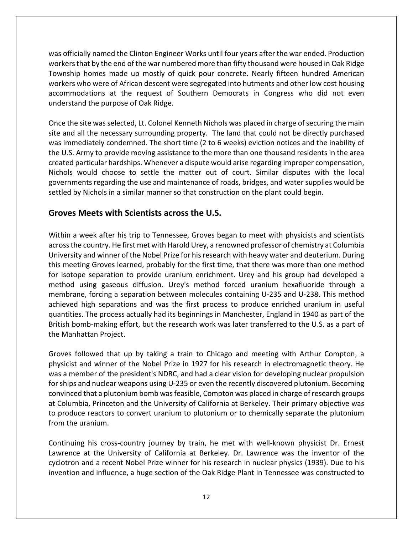was officially named the Clinton Engineer Works until four years after the war ended. Production workers that by the end of the war numbered more than fifty thousand were housed in Oak Ridge Township homes made up mostly of quick pour concrete. Nearly fifteen hundred American workers who were of African descent were segregated into hutments and other low cost housing accommodations at the request of Southern Democrats in Congress who did not even understand the purpose of Oak Ridge.

Once the site was selected, Lt. Colonel Kenneth Nichols was placed in charge of securing the main site and all the necessary surrounding property. The land that could not be directly purchased was immediately condemned. The short time (2 to 6 weeks) eviction notices and the inability of the U.S. Army to provide moving assistance to the more than one thousand residents in the area created particular hardships. Whenever a dispute would arise regarding improper compensation, Nichols would choose to settle the matter out of court. Similar disputes with the local governments regarding the use and maintenance of roads, bridges, and water supplies would be settled by Nichols in a similar manner so that construction on the plant could begin.

#### **Groves Meets with Scientists across the U.S.**

Within a week after his trip to Tennessee, Groves began to meet with physicists and scientists across the country. He first met with Harold Urey, a renowned professor of chemistry at Columbia University and winner of the Nobel Prize for his research with heavy water and deuterium. During this meeting Groves learned, probably for the first time, that there was more than one method for isotope separation to provide uranium enrichment. Urey and his group had developed a method using gaseous diffusion. Urey's method forced uranium hexafluoride through a membrane, forcing a separation between molecules containing U-235 and U-238. This method achieved high separations and was the first process to produce enriched uranium in useful quantities. The process actually had its beginnings in Manchester, England in 1940 as part of the British bomb-making effort, but the research work was later transferred to the U.S. as a part of the Manhattan Project.

Groves followed that up by taking a train to Chicago and meeting with Arthur Compton, a physicist and winner of the Nobel Prize in 1927 for his research in electromagnetic theory. He was a member of the president's NDRC, and had a clear vision for developing nuclear propulsion for ships and nuclear weapons using U-235 or even the recently discovered plutonium. Becoming convinced that a plutonium bomb was feasible, Compton was placed in charge of research groups at Columbia, Princeton and the University of California at Berkeley. Their primary objective was to produce reactors to convert uranium to plutonium or to chemically separate the plutonium from the uranium.

Continuing his cross-country journey by train, he met with well-known physicist Dr. Ernest Lawrence at the University of California at Berkeley. Dr. Lawrence was the inventor of the cyclotron and a recent Nobel Prize winner for his research in nuclear physics (1939). Due to his invention and influence, a huge section of the Oak Ridge Plant in Tennessee was constructed to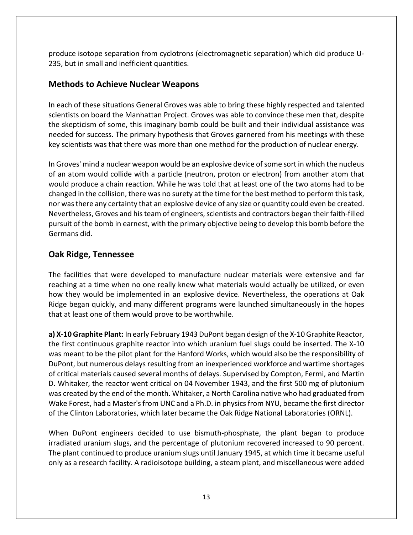produce isotope separation from cyclotrons (electromagnetic separation) which did produce U-235, but in small and inefficient quantities.

#### **Methods to Achieve Nuclear Weapons**

In each of these situations General Groves was able to bring these highly respected and talented scientists on board the Manhattan Project. Groves was able to convince these men that, despite the skepticism of some, this imaginary bomb could be built and their individual assistance was needed for success. The primary hypothesis that Groves garnered from his meetings with these key scientists was that there was more than one method for the production of nuclear energy.

In Groves' mind a nuclear weapon would be an explosive device of some sort in which the nucleus of an atom would collide with a particle (neutron, proton or electron) from another atom that would produce a chain reaction. While he was told that at least one of the two atoms had to be changed in the collision, there was no surety at the time for the best method to perform this task, nor was there any certainty that an explosive device of any size or quantity could even be created. Nevertheless, Groves and his team of engineers, scientists and contractors began their faith-filled pursuit of the bomb in earnest, with the primary objective being to develop this bomb before the Germans did.

#### **Oak Ridge, Tennessee**

The facilities that were developed to manufacture nuclear materials were extensive and far reaching at a time when no one really knew what materials would actually be utilized, or even how they would be implemented in an explosive device. Nevertheless, the operations at Oak Ridge began quickly, and many different programs were launched simultaneously in the hopes that at least one of them would prove to be worthwhile.

**a) X-10 Graphite Plant:** In early February 1943 DuPont began design of the X-10 Graphite Reactor, the first continuous graphite reactor into which uranium fuel slugs could be inserted. The X-10 was meant to be the pilot plant for the Hanford Works, which would also be the responsibility of DuPont, but numerous delays resulting from an inexperienced workforce and wartime shortages of critical materials caused several months of delays. Supervised by Compton, Fermi, and Martin D. Whitaker, the reactor went critical on 04 November 1943, and the first 500 mg of plutonium was created by the end of the month. Whitaker, a North Carolina native who had graduated from Wake Forest, had a Master's from UNC and a Ph.D. in physics from NYU, became the first director of the Clinton Laboratories, which later became the Oak Ridge National Laboratories (ORNL).

When DuPont engineers decided to use bismuth-phosphate, the plant began to produce irradiated uranium slugs, and the percentage of plutonium recovered increased to 90 percent. The plant continued to produce uranium slugs until January 1945, at which time it became useful only as a research facility. A radioisotope building, a steam plant, and miscellaneous were added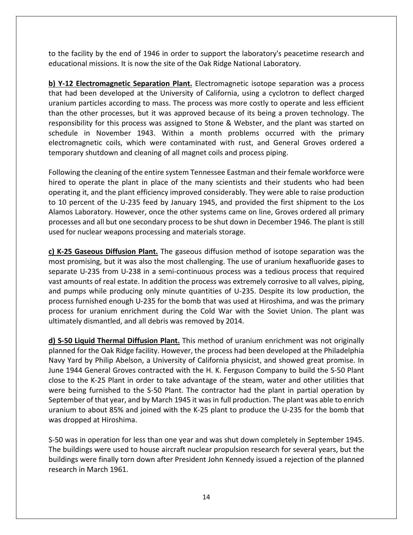to the facility by the end of 1946 in order to support the laboratory's peacetime research and educational missions. It is now the site of the Oak Ridge National Laboratory.

**b) Y-12 Electromagnetic Separation Plant.** Electromagnetic isotope separation was a process that had been developed at the University of California, using a cyclotron to deflect charged uranium particles according to mass. The process was more costly to operate and less efficient than the other processes, but it was approved because of its being a proven technology. The responsibility for this process was assigned to Stone & Webster, and the plant was started on schedule in November 1943. Within a month problems occurred with the primary electromagnetic coils, which were contaminated with rust, and General Groves ordered a temporary shutdown and cleaning of all magnet coils and process piping.

Following the cleaning of the entire system Tennessee Eastman and their female workforce were hired to operate the plant in place of the many scientists and their students who had been operating it, and the plant efficiency improved considerably. They were able to raise production to 10 percent of the U-235 feed by January 1945, and provided the first shipment to the Los Alamos Laboratory. However, once the other systems came on line, Groves ordered all primary processes and all but one secondary process to be shut down in December 1946. The plant is still used for nuclear weapons processing and materials storage.

**c) K-25 Gaseous Diffusion Plant.** The gaseous diffusion method of isotope separation was the most promising, but it was also the most challenging. The use of uranium hexafluoride gases to separate U-235 from U-238 in a semi-continuous process was a tedious process that required vast amounts of real estate. In addition the process was extremely corrosive to all valves, piping, and pumps while producing only minute quantities of U-235. Despite its low production, the process furnished enough U-235 for the bomb that was used at Hiroshima, and was the primary process for uranium enrichment during the Cold War with the Soviet Union. The plant was ultimately dismantled, and all debris was removed by 2014.

**d) S-50 Liquid Thermal Diffusion Plant.** This method of uranium enrichment was not originally planned for the Oak Ridge facility. However, the process had been developed at the Philadelphia Navy Yard by Philip Abelson, a University of California physicist, and showed great promise. In June 1944 General Groves contracted with the H. K. Ferguson Company to build the S-50 Plant close to the K-25 Plant in order to take advantage of the steam, water and other utilities that were being furnished to the S-50 Plant. The contractor had the plant in partial operation by September of that year, and by March 1945 it was in full production. The plant was able to enrich uranium to about 85% and joined with the K-25 plant to produce the U-235 for the bomb that was dropped at Hiroshima.

S-50 was in operation for less than one year and was shut down completely in September 1945. The buildings were used to house aircraft nuclear propulsion research for several years, but the buildings were finally torn down after President John Kennedy issued a rejection of the planned research in March 1961.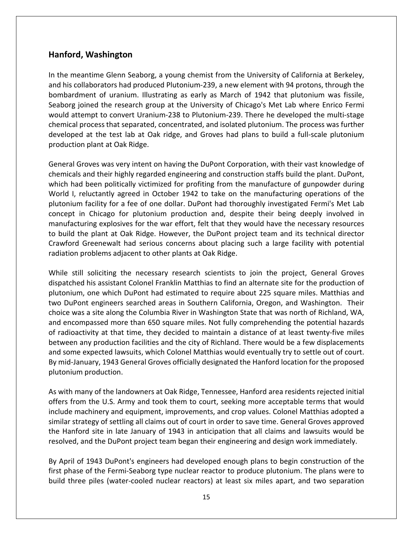#### **Hanford, Washington**

In the meantime Glenn Seaborg, a young chemist from the University of California at Berkeley, and his collaborators had produced Plutonium-239, a new element with 94 protons, through the bombardment of uranium. Illustrating as early as March of 1942 that plutonium was fissile, Seaborg joined the research group at the University of Chicago's Met Lab where Enrico Fermi would attempt to convert Uranium-238 to Plutonium-239. There he developed the multi-stage chemical process that separated, concentrated, and isolated plutonium. The process was further developed at the test lab at Oak ridge, and Groves had plans to build a full-scale plutonium production plant at Oak Ridge.

General Groves was very intent on having the DuPont Corporation, with their vast knowledge of chemicals and their highly regarded engineering and construction staffs build the plant. DuPont, which had been politically victimized for profiting from the manufacture of gunpowder during World I, reluctantly agreed in October 1942 to take on the manufacturing operations of the plutonium facility for a fee of one dollar. DuPont had thoroughly investigated Fermi's Met Lab concept in Chicago for plutonium production and, despite their being deeply involved in manufacturing explosives for the war effort, felt that they would have the necessary resources to build the plant at Oak Ridge. However, the DuPont project team and its technical director Crawford Greenewalt had serious concerns about placing such a large facility with potential radiation problems adjacent to other plants at Oak Ridge.

While still soliciting the necessary research scientists to join the project, General Groves dispatched his assistant Colonel Franklin Matthias to find an alternate site for the production of plutonium, one which DuPont had estimated to require about 225 square miles. Matthias and two DuPont engineers searched areas in Southern California, Oregon, and Washington. Their choice was a site along the Columbia River in Washington State that was north of Richland, WA, and encompassed more than 650 square miles. Not fully comprehending the potential hazards of radioactivity at that time, they decided to maintain a distance of at least twenty-five miles between any production facilities and the city of Richland. There would be a few displacements and some expected lawsuits, which Colonel Matthias would eventually try to settle out of court. By mid-January, 1943 General Groves officially designated the Hanford location for the proposed plutonium production.

As with many of the landowners at Oak Ridge, Tennessee, Hanford area residents rejected initial offers from the U.S. Army and took them to court, seeking more acceptable terms that would include machinery and equipment, improvements, and crop values. Colonel Matthias adopted a similar strategy of settling all claims out of court in order to save time. General Groves approved the Hanford site in late January of 1943 in anticipation that all claims and lawsuits would be resolved, and the DuPont project team began their engineering and design work immediately.

By April of 1943 DuPont's engineers had developed enough plans to begin construction of the first phase of the Fermi-Seaborg type nuclear reactor to produce plutonium. The plans were to build three piles (water-cooled nuclear reactors) at least six miles apart, and two separation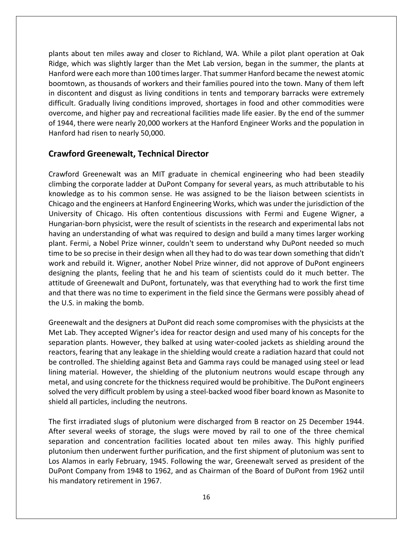plants about ten miles away and closer to Richland, WA. While a pilot plant operation at Oak Ridge, which was slightly larger than the Met Lab version, began in the summer, the plants at Hanford were each more than 100 times larger. That summer Hanford became the newest atomic boomtown, as thousands of workers and their families poured into the town. Many of them left in discontent and disgust as living conditions in tents and temporary barracks were extremely difficult. Gradually living conditions improved, shortages in food and other commodities were overcome, and higher pay and recreational facilities made life easier. By the end of the summer of 1944, there were nearly 20,000 workers at the Hanford Engineer Works and the population in Hanford had risen to nearly 50,000.

#### **Crawford Greenewalt, Technical Director**

Crawford Greenewalt was an MIT graduate in chemical engineering who had been steadily climbing the corporate ladder at DuPont Company for several years, as much attributable to his knowledge as to his common sense. He was assigned to be the liaison between scientists in Chicago and the engineers at Hanford Engineering Works, which was under the jurisdiction of the University of Chicago. His often contentious discussions with Fermi and Eugene Wigner, a Hungarian-born physicist, were the result of scientists in the research and experimental labs not having an understanding of what was required to design and build a many times larger working plant. Fermi, a Nobel Prize winner, couldn't seem to understand why DuPont needed so much time to be so precise in their design when all they had to do was tear down something that didn't work and rebuild it. Wigner, another Nobel Prize winner, did not approve of DuPont engineers designing the plants, feeling that he and his team of scientists could do it much better. The attitude of Greenewalt and DuPont, fortunately, was that everything had to work the first time and that there was no time to experiment in the field since the Germans were possibly ahead of the U.S. in making the bomb.

Greenewalt and the designers at DuPont did reach some compromises with the physicists at the Met Lab. They accepted Wigner's idea for reactor design and used many of his concepts for the separation plants. However, they balked at using water-cooled jackets as shielding around the reactors, fearing that any leakage in the shielding would create a radiation hazard that could not be controlled. The shielding against Beta and Gamma rays could be managed using steel or lead lining material. However, the shielding of the plutonium neutrons would escape through any metal, and using concrete for the thickness required would be prohibitive. The DuPont engineers solved the very difficult problem by using a steel-backed wood fiber board known as Masonite to shield all particles, including the neutrons.

The first irradiated slugs of plutonium were discharged from B reactor on 25 December 1944. After several weeks of storage, the slugs were moved by rail to one of the three chemical separation and concentration facilities located about ten miles away. This highly purified plutonium then underwent further purification, and the first shipment of plutonium was sent to Los Alamos in early February, 1945. Following the war, Greenewalt served as president of the DuPont Company from 1948 to 1962, and as Chairman of the Board of DuPont from 1962 until his mandatory retirement in 1967.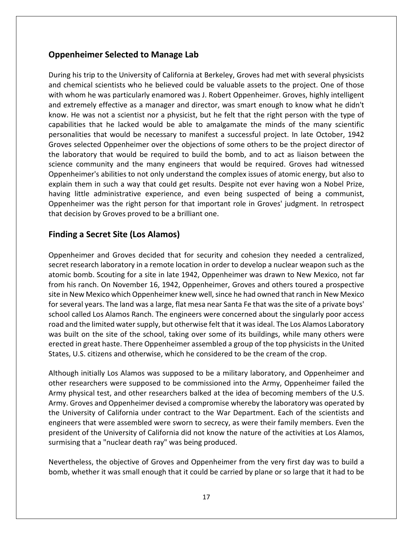#### **Oppenheimer Selected to Manage Lab**

During his trip to the University of California at Berkeley, Groves had met with several physicists and chemical scientists who he believed could be valuable assets to the project. One of those with whom he was particularly enamored was J. Robert Oppenheimer. Groves, highly intelligent and extremely effective as a manager and director, was smart enough to know what he didn't know. He was not a scientist nor a physicist, but he felt that the right person with the type of capabilities that he lacked would be able to amalgamate the minds of the many scientific personalities that would be necessary to manifest a successful project. In late October, 1942 Groves selected Oppenheimer over the objections of some others to be the project director of the laboratory that would be required to build the bomb, and to act as liaison between the science community and the many engineers that would be required. Groves had witnessed Oppenheimer's abilities to not only understand the complex issues of atomic energy, but also to explain them in such a way that could get results. Despite not ever having won a Nobel Prize, having little administrative experience, and even being suspected of being a communist, Oppenheimer was the right person for that important role in Groves' judgment. In retrospect that decision by Groves proved to be a brilliant one.

#### **Finding a Secret Site (Los Alamos)**

Oppenheimer and Groves decided that for security and cohesion they needed a centralized, secret research laboratory in a remote location in order to develop a nuclear weapon such as the atomic bomb. Scouting for a site in late 1942, Oppenheimer was drawn to New Mexico, not far from his ranch. On November 16, 1942, Oppenheimer, Groves and others toured a prospective site in New Mexico which Oppenheimer knew well, since he had owned that ranch in New Mexico for several years. The land was a large, flat mesa near Santa Fe that was the site of a private boys' school called Los Alamos Ranch. The engineers were concerned about the singularly poor access road and the limited water supply, but otherwise felt that it was ideal. The Los Alamos Laboratory was built on the site of the school, taking over some of its buildings, while many others were erected in great haste. There Oppenheimer assembled a group of the top physicists in the United States, U.S. citizens and otherwise, which he considered to be the cream of the crop.

Although initially Los Alamos was supposed to be a military laboratory, and Oppenheimer and other researchers were supposed to be commissioned into the Army, Oppenheimer failed the Army physical test, and other researchers balked at the idea of becoming members of the U.S. Army. Groves and Oppenheimer devised a compromise whereby the laboratory was operated by the University of California under contract to the War Department. Each of the scientists and engineers that were assembled were sworn to secrecy, as were their family members. Even the president of the University of California did not know the nature of the activities at Los Alamos, surmising that a "nuclear death ray" was being produced.

Nevertheless, the objective of Groves and Oppenheimer from the very first day was to build a bomb, whether it was small enough that it could be carried by plane or so large that it had to be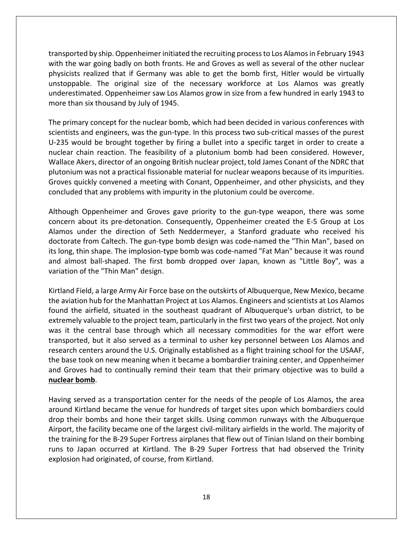transported by ship. Oppenheimer initiated the recruiting process to Los Alamos in February 1943 with the war going badly on both fronts. He and Groves as well as several of the other nuclear physicists realized that if Germany was able to get the bomb first, Hitler would be virtually unstoppable. The original size of the necessary workforce at Los Alamos was greatly underestimated. Oppenheimer saw Los Alamos grow in size from a few hundred in early 1943 to more than six thousand by July of 1945.

The primary concept for the nuclear bomb, which had been decided in various conferences with scientists and engineers, was the gun-type. In this process two sub-critical masses of the purest U-235 would be brought together by firing a bullet into a specific target in order to create a nuclear chain reaction. The feasibility of a plutonium bomb had been considered. However, Wallace Akers, director of an ongoing British nuclear project, told James Conant of the NDRC that plutonium was not a practical fissionable material for nuclear weapons because of its impurities. Groves quickly convened a meeting with Conant, Oppenheimer, and other physicists, and they concluded that any problems with impurity in the plutonium could be overcome.

Although Oppenheimer and Groves gave priority to the gun-type weapon, there was some concern about its pre-detonation. Consequently, Oppenheimer created the E-5 Group at Los Alamos under the direction of Seth Neddermeyer, a Stanford graduate who received his doctorate from Caltech. The gun-type bomb design was code-named the "Thin Man", based on its long, thin shape. The implosion-type bomb was code-named "Fat Man" because it was round and almost ball-shaped. The first bomb dropped over Japan, known as "Little Boy", was a variation of the "Thin Man" design.

Kirtland Field, a large Army Air Force base on the outskirts of Albuquerque, New Mexico, became the aviation hub for the Manhattan Project at Los Alamos. Engineers and scientists at Los Alamos found the airfield, situated in the southeast quadrant of Albuquerque's urban district, to be extremely valuable to the project team, particularly in the first two years of the project. Not only was it the central base through which all necessary commodities for the war effort were transported, but it also served as a terminal to usher key personnel between Los Alamos and research centers around the U.S. Originally established as a flight training school for the USAAF, the base took on new meaning when it became a bombardier training center, and Oppenheimer and Groves had to continually remind their team that their primary objective was to build a **nuclear bomb**.

Having served as a transportation center for the needs of the people of Los Alamos, the area around Kirtland became the venue for hundreds of target sites upon which bombardiers could drop their bombs and hone their target skills. Using common runways with the Albuquerque Airport, the facility became one of the largest civil-military airfields in the world. The majority of the training for the B-29 Super Fortress airplanes that flew out of Tinian Island on their bombing runs to Japan occurred at Kirtland. The B-29 Super Fortress that had observed the Trinity explosion had originated, of course, from Kirtland.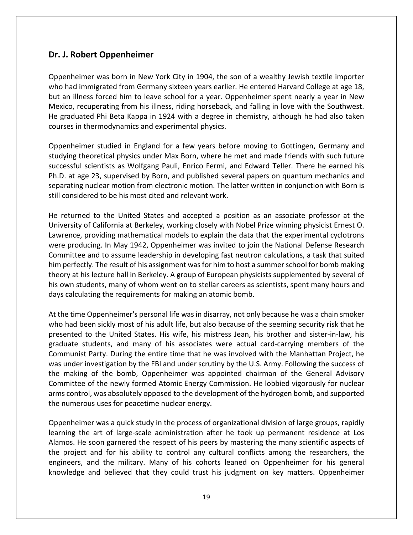#### **Dr. J. Robert Oppenheimer**

Oppenheimer was born in New York City in 1904, the son of a wealthy Jewish textile importer who had immigrated from Germany sixteen years earlier. He entered Harvard College at age 18, but an illness forced him to leave school for a year. Oppenheimer spent nearly a year in New Mexico, recuperating from his illness, riding horseback, and falling in love with the Southwest. He graduated Phi Beta Kappa in 1924 with a degree in chemistry, although he had also taken courses in thermodynamics and experimental physics.

Oppenheimer studied in England for a few years before moving to Gottingen, Germany and studying theoretical physics under Max Born, where he met and made friends with such future successful scientists as Wolfgang Pauli, Enrico Fermi, and Edward Teller. There he earned his Ph.D. at age 23, supervised by Born, and published several papers on quantum mechanics and separating nuclear motion from electronic motion. The latter written in conjunction with Born is still considered to be his most cited and relevant work.

He returned to the United States and accepted a position as an associate professor at the University of California at Berkeley, working closely with Nobel Prize winning physicist Ernest O. Lawrence, providing mathematical models to explain the data that the experimental cyclotrons were producing. In May 1942, Oppenheimer was invited to join the National Defense Research Committee and to assume leadership in developing fast neutron calculations, a task that suited him perfectly. The result of his assignment was for him to host a summer school for bomb making theory at his lecture hall in Berkeley. A group of European physicists supplemented by several of his own students, many of whom went on to stellar careers as scientists, spent many hours and days calculating the requirements for making an atomic bomb.

At the time Oppenheimer's personal life was in disarray, not only because he was a chain smoker who had been sickly most of his adult life, but also because of the seeming security risk that he presented to the United States. His wife, his mistress Jean, his brother and sister-in-law, his graduate students, and many of his associates were actual card-carrying members of the Communist Party. During the entire time that he was involved with the Manhattan Project, he was under investigation by the FBI and under scrutiny by the U.S. Army. Following the success of the making of the bomb, Oppenheimer was appointed chairman of the General Advisory Committee of the newly formed Atomic Energy Commission. He lobbied vigorously for nuclear arms control, was absolutely opposed to the development of the hydrogen bomb, and supported the numerous uses for peacetime nuclear energy.

Oppenheimer was a quick study in the process of organizational division of large groups, rapidly learning the art of large-scale administration after he took up permanent residence at Los Alamos. He soon garnered the respect of his peers by mastering the many scientific aspects of the project and for his ability to control any cultural conflicts among the researchers, the engineers, and the military. Many of his cohorts leaned on Oppenheimer for his general knowledge and believed that they could trust his judgment on key matters. Oppenheimer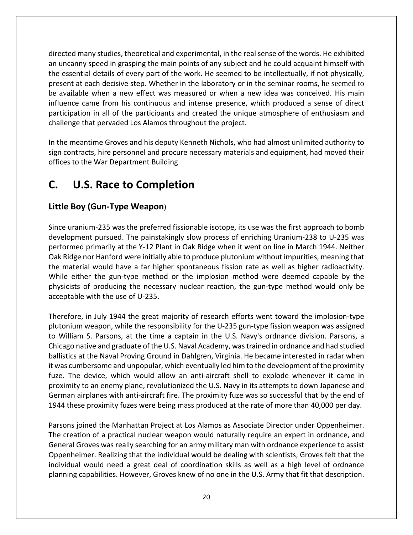directed many studies, theoretical and experimental, in the real sense of the words. He exhibited an uncanny speed in grasping the main points of any subject and he could acquaint himself with the essential details of every part of the work. He seemed to be intellectually, if not physically, present at each decisive step. Whether in the laboratory or in the seminar rooms, he seemed to be available when a new effect was measured or when a new idea was conceived. His main influence came from his continuous and intense presence, which produced a sense of direct participation in all of the participants and created the unique atmosphere of enthusiasm and challenge that pervaded Los Alamos throughout the project.

In the meantime Groves and his deputy Kenneth Nichols, who had almost unlimited authority to sign contracts, hire personnel and procure necessary materials and equipment, had moved their offices to the War Department Building

# **C. U.S. Race to Completion**

### **Little Boy (Gun-Type Weapon**)

Since uranium-235 was the preferred fissionable isotope, its use was the first approach to bomb development pursued. The painstakingly slow process of enriching Uranium-238 to U-235 was performed primarily at the Y-12 Plant in Oak Ridge when it went on line in March 1944. Neither Oak Ridge nor Hanford were initially able to produce plutonium without impurities, meaning that the material would have a far higher spontaneous fission rate as well as higher radioactivity. While either the gun-type method or the implosion method were deemed capable by the physicists of producing the necessary nuclear reaction, the gun-type method would only be acceptable with the use of U-235.

Therefore, in July 1944 the great majority of research efforts went toward the implosion-type plutonium weapon, while the responsibility for the U-235 gun-type fission weapon was assigned to William S. Parsons, at the time a captain in the U.S. Navy's ordnance division. Parsons, a Chicago native and graduate of the U.S. Naval Academy, was trained in ordnance and had studied ballistics at the Naval Proving Ground in Dahlgren, Virginia. He became interested in radar when it was cumbersome and unpopular, which eventually led him to the development of the proximity fuze. The device, which would allow an anti-aircraft shell to explode whenever it came in proximity to an enemy plane, revolutionized the U.S. Navy in its attempts to down Japanese and German airplanes with anti-aircraft fire. The proximity fuze was so successful that by the end of 1944 these proximity fuzes were being mass produced at the rate of more than 40,000 per day.

Parsons joined the Manhattan Project at Los Alamos as Associate Director under Oppenheimer. The creation of a practical nuclear weapon would naturally require an expert in ordnance, and General Groves was really searching for an army military man with ordnance experience to assist Oppenheimer. Realizing that the individual would be dealing with scientists, Groves felt that the individual would need a great deal of coordination skills as well as a high level of ordnance planning capabilities. However, Groves knew of no one in the U.S. Army that fit that description.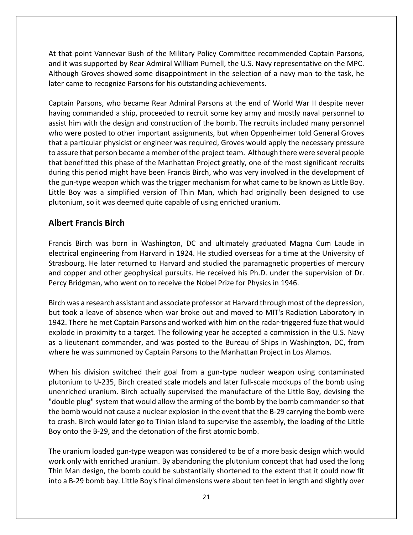At that point Vannevar Bush of the Military Policy Committee recommended Captain Parsons, and it was supported by Rear Admiral William Purnell, the U.S. Navy representative on the MPC. Although Groves showed some disappointment in the selection of a navy man to the task, he later came to recognize Parsons for his outstanding achievements.

Captain Parsons, who became Rear Admiral Parsons at the end of World War II despite never having commanded a ship, proceeded to recruit some key army and mostly naval personnel to assist him with the design and construction of the bomb. The recruits included many personnel who were posted to other important assignments, but when Oppenheimer told General Groves that a particular physicist or engineer was required, Groves would apply the necessary pressure to assure that person became a member of the project team. Although there were several people that benefitted this phase of the Manhattan Project greatly, one of the most significant recruits during this period might have been Francis Birch, who was very involved in the development of the gun-type weapon which was the trigger mechanism for what came to be known as Little Boy. Little Boy was a simplified version of Thin Man, which had originally been designed to use plutonium, so it was deemed quite capable of using enriched uranium.

#### **Albert Francis Birch**

Francis Birch was born in Washington, DC and ultimately graduated Magna Cum Laude in electrical engineering from Harvard in 1924. He studied overseas for a time at the University of Strasbourg. He later returned to Harvard and studied the paramagnetic properties of mercury and copper and other geophysical pursuits. He received his Ph.D. under the supervision of Dr. Percy Bridgman, who went on to receive the Nobel Prize for Physics in 1946.

Birch was a research assistant and associate professor at Harvard through most of the depression, but took a leave of absence when war broke out and moved to MIT's Radiation Laboratory in 1942. There he met Captain Parsons and worked with him on the radar-triggered fuze that would explode in proximity to a target. The following year he accepted a commission in the U.S. Navy as a lieutenant commander, and was posted to the Bureau of Ships in Washington, DC, from where he was summoned by Captain Parsons to the Manhattan Project in Los Alamos.

When his division switched their goal from a gun-type nuclear weapon using contaminated plutonium to U-235, Birch created scale models and later full-scale mockups of the bomb using unenriched uranium. Birch actually supervised the manufacture of the Little Boy, devising the "double plug" system that would allow the arming of the bomb by the bomb commander so that the bomb would not cause a nuclear explosion in the event that the B-29 carrying the bomb were to crash. Birch would later go to Tinian Island to supervise the assembly, the loading of the Little Boy onto the B-29, and the detonation of the first atomic bomb.

The uranium loaded gun-type weapon was considered to be of a more basic design which would work only with enriched uranium. By abandoning the plutonium concept that had used the long Thin Man design, the bomb could be substantially shortened to the extent that it could now fit into a B-29 bomb bay. Little Boy's final dimensions were about ten feet in length and slightly over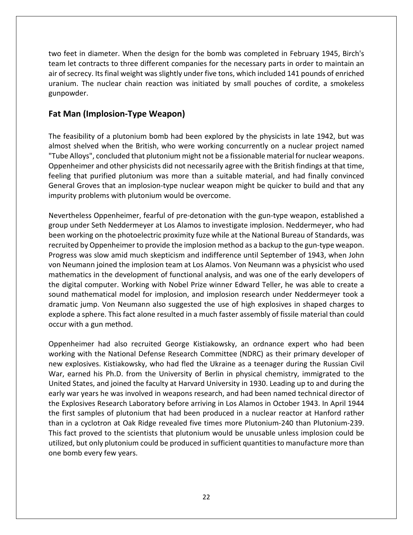two feet in diameter. When the design for the bomb was completed in February 1945, Birch's team let contracts to three different companies for the necessary parts in order to maintain an air of secrecy. Its final weight was slightly under five tons, which included 141 pounds of enriched uranium. The nuclear chain reaction was initiated by small pouches of cordite, a smokeless gunpowder.

### **Fat Man (Implosion-Type Weapon)**

The feasibility of a plutonium bomb had been explored by the physicists in late 1942, but was almost shelved when the British, who were working concurrently on a nuclear project named "Tube Alloys", concluded that plutonium might not be a fissionable material for nuclear weapons. Oppenheimer and other physicists did not necessarily agree with the British findings at that time, feeling that purified plutonium was more than a suitable material, and had finally convinced General Groves that an implosion-type nuclear weapon might be quicker to build and that any impurity problems with plutonium would be overcome.

Nevertheless Oppenheimer, fearful of pre-detonation with the gun-type weapon, established a group under Seth Neddermeyer at Los Alamos to investigate implosion. Neddermeyer, who had been working on the photoelectric proximity fuze while at the National Bureau of Standards, was recruited by Oppenheimer to provide the implosion method as a backup to the gun-type weapon. Progress was slow amid much skepticism and indifference until September of 1943, when John von Neumann joined the implosion team at Los Alamos. Von Neumann was a physicist who used mathematics in the development of functional analysis, and was one of the early developers of the digital computer. Working with Nobel Prize winner Edward Teller, he was able to create a sound mathematical model for implosion, and implosion research under Neddermeyer took a dramatic jump. Von Neumann also suggested the use of high explosives in shaped charges to explode a sphere. This fact alone resulted in a much faster assembly of fissile material than could occur with a gun method.

Oppenheimer had also recruited George Kistiakowsky, an ordnance expert who had been working with the National Defense Research Committee (NDRC) as their primary developer of new explosives. Kistiakowsky, who had fled the Ukraine as a teenager during the Russian Civil War, earned his Ph.D. from the University of Berlin in physical chemistry, immigrated to the United States, and joined the faculty at Harvard University in 1930. Leading up to and during the early war years he was involved in weapons research, and had been named technical director of the Explosives Research Laboratory before arriving in Los Alamos in October 1943. In April 1944 the first samples of plutonium that had been produced in a nuclear reactor at Hanford rather than in a cyclotron at Oak Ridge revealed five times more Plutonium-240 than Plutonium-239. This fact proved to the scientists that plutonium would be unusable unless implosion could be utilized, but only plutonium could be produced in sufficient quantities to manufacture more than one bomb every few years.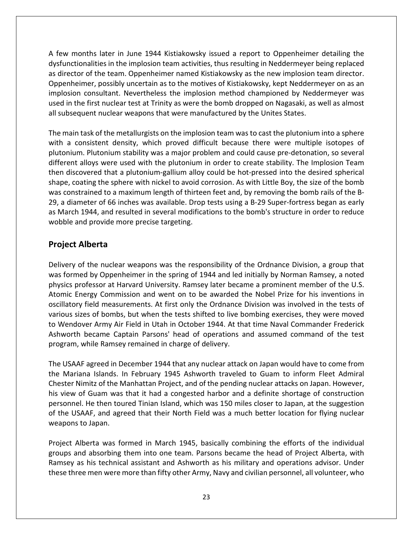A few months later in June 1944 Kistiakowsky issued a report to Oppenheimer detailing the dysfunctionalities in the implosion team activities, thus resulting in Neddermeyer being replaced as director of the team. Oppenheimer named Kistiakowsky as the new implosion team director. Oppenheimer, possibly uncertain as to the motives of Kistiakowsky, kept Neddermeyer on as an implosion consultant. Nevertheless the implosion method championed by Neddermeyer was used in the first nuclear test at Trinity as were the bomb dropped on Nagasaki, as well as almost all subsequent nuclear weapons that were manufactured by the Unites States.

The main task of the metallurgists on the implosion team was to cast the plutonium into a sphere with a consistent density, which proved difficult because there were multiple isotopes of plutonium. Plutonium stability was a major problem and could cause pre-detonation, so several different alloys were used with the plutonium in order to create stability. The Implosion Team then discovered that a plutonium-gallium alloy could be hot-pressed into the desired spherical shape, coating the sphere with nickel to avoid corrosion. As with Little Boy, the size of the bomb was constrained to a maximum length of thirteen feet and, by removing the bomb rails of the B-29, a diameter of 66 inches was available. Drop tests using a B-29 Super-fortress began as early as March 1944, and resulted in several modifications to the bomb's structure in order to reduce wobble and provide more precise targeting.

#### **Project Alberta**

Delivery of the nuclear weapons was the responsibility of the Ordnance Division, a group that was formed by Oppenheimer in the spring of 1944 and led initially by Norman Ramsey, a noted physics professor at Harvard University. Ramsey later became a prominent member of the U.S. Atomic Energy Commission and went on to be awarded the Nobel Prize for his inventions in oscillatory field measurements. At first only the Ordnance Division was involved in the tests of various sizes of bombs, but when the tests shifted to live bombing exercises, they were moved to Wendover Army Air Field in Utah in October 1944. At that time Naval Commander Frederick Ashworth became Captain Parsons' head of operations and assumed command of the test program, while Ramsey remained in charge of delivery.

The USAAF agreed in December 1944 that any nuclear attack on Japan would have to come from the Mariana Islands. In February 1945 Ashworth traveled to Guam to inform Fleet Admiral Chester Nimitz of the Manhattan Project, and of the pending nuclear attacks on Japan. However, his view of Guam was that it had a congested harbor and a definite shortage of construction personnel. He then toured Tinian Island, which was 150 miles closer to Japan, at the suggestion of the USAAF, and agreed that their North Field was a much better location for flying nuclear weapons to Japan.

Project Alberta was formed in March 1945, basically combining the efforts of the individual groups and absorbing them into one team. Parsons became the head of Project Alberta, with Ramsey as his technical assistant and Ashworth as his military and operations advisor. Under these three men were more than fifty other Army, Navy and civilian personnel, all volunteer, who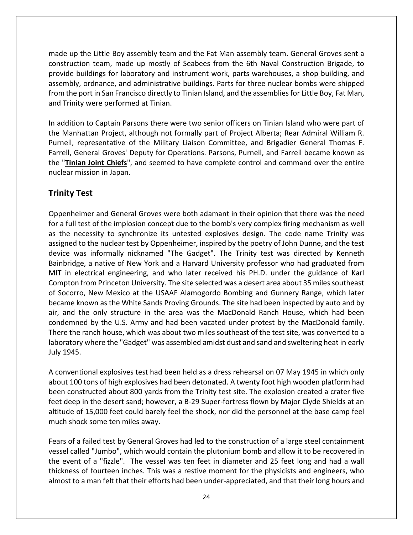made up the Little Boy assembly team and the Fat Man assembly team. General Groves sent a construction team, made up mostly of Seabees from the 6th Naval Construction Brigade, to provide buildings for laboratory and instrument work, parts warehouses, a shop building, and assembly, ordnance, and administrative buildings. Parts for three nuclear bombs were shipped from the port in San Francisco directly to Tinian Island, and the assemblies for Little Boy, Fat Man, and Trinity were performed at Tinian.

In addition to Captain Parsons there were two senior officers on Tinian Island who were part of the Manhattan Project, although not formally part of Project Alberta; Rear Admiral William R. Purnell, representative of the Military Liaison Committee, and Brigadier General Thomas F. Farrell, General Groves' Deputy for Operations. Parsons, Purnell, and Farrell became known as the "**Tinian Joint Chiefs**", and seemed to have complete control and command over the entire nuclear mission in Japan.

#### **Trinity Test**

Oppenheimer and General Groves were both adamant in their opinion that there was the need for a full test of the implosion concept due to the bomb's very complex firing mechanism as well as the necessity to synchronize its untested explosives design. The code name Trinity was assigned to the nuclear test by Oppenheimer, inspired by the poetry of John Dunne, and the test device was informally nicknamed "The Gadget". The Trinity test was directed by Kenneth Bainbridge, a native of New York and a Harvard University professor who had graduated from MIT in electrical engineering, and who later received his PH.D. under the guidance of Karl Compton from Princeton University. The site selected was a desert area about 35 miles southeast of Socorro, New Mexico at the USAAF Alamogordo Bombing and Gunnery Range, which later became known as the White Sands Proving Grounds. The site had been inspected by auto and by air, and the only structure in the area was the MacDonald Ranch House, which had been condemned by the U.S. Army and had been vacated under protest by the MacDonald family. There the ranch house, which was about two miles southeast of the test site, was converted to a laboratory where the "Gadget" was assembled amidst dust and sand and sweltering heat in early July 1945.

A conventional explosives test had been held as a dress rehearsal on 07 May 1945 in which only about 100 tons of high explosives had been detonated. A twenty foot high wooden platform had been constructed about 800 yards from the Trinity test site. The explosion created a crater five feet deep in the desert sand; however, a B-29 Super-fortress flown by Major Clyde Shields at an altitude of 15,000 feet could barely feel the shock, nor did the personnel at the base camp feel much shock some ten miles away.

Fears of a failed test by General Groves had led to the construction of a large steel containment vessel called "Jumbo", which would contain the plutonium bomb and allow it to be recovered in the event of a "fizzle". The vessel was ten feet in diameter and 25 feet long and had a wall thickness of fourteen inches. This was a restive moment for the physicists and engineers, who almost to a man felt that their efforts had been under-appreciated, and that their long hours and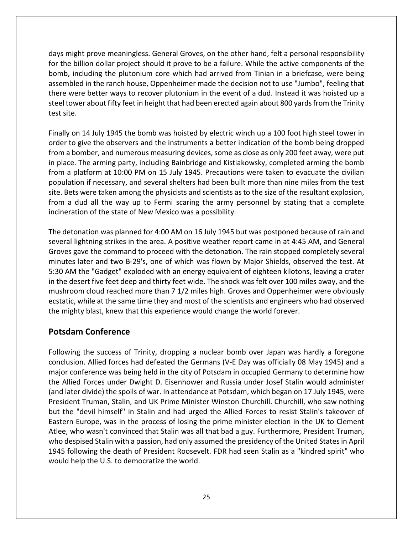days might prove meaningless. General Groves, on the other hand, felt a personal responsibility for the billion dollar project should it prove to be a failure. While the active components of the bomb, including the plutonium core which had arrived from Tinian in a briefcase, were being assembled in the ranch house, Oppenheimer made the decision not to use "Jumbo", feeling that there were better ways to recover plutonium in the event of a dud. Instead it was hoisted up a steel tower about fifty feet in height that had been erected again about 800 yards from the Trinity test site.

Finally on 14 July 1945 the bomb was hoisted by electric winch up a 100 foot high steel tower in order to give the observers and the instruments a better indication of the bomb being dropped from a bomber, and numerous measuring devices, some as close as only 200 feet away, were put in place. The arming party, including Bainbridge and Kistiakowsky, completed arming the bomb from a platform at 10:00 PM on 15 July 1945. Precautions were taken to evacuate the civilian population if necessary, and several shelters had been built more than nine miles from the test site. Bets were taken among the physicists and scientists as to the size of the resultant explosion, from a dud all the way up to Fermi scaring the army personnel by stating that a complete incineration of the state of New Mexico was a possibility.

The detonation was planned for 4:00 AM on 16 July 1945 but was postponed because of rain and several lightning strikes in the area. A positive weather report came in at 4:45 AM, and General Groves gave the command to proceed with the detonation. The rain stopped completely several minutes later and two B-29's, one of which was flown by Major Shields, observed the test. At 5:30 AM the "Gadget" exploded with an energy equivalent of eighteen kilotons, leaving a crater in the desert five feet deep and thirty feet wide. The shock was felt over 100 miles away, and the mushroom cloud reached more than 7 1/2 miles high. Groves and Oppenheimer were obviously ecstatic, while at the same time they and most of the scientists and engineers who had observed the mighty blast, knew that this experience would change the world forever.

#### **Potsdam Conference**

Following the success of Trinity, dropping a nuclear bomb over Japan was hardly a foregone conclusion. Allied forces had defeated the Germans (V-E Day was officially 08 May 1945) and a major conference was being held in the city of Potsdam in occupied Germany to determine how the Allied Forces under Dwight D. Eisenhower and Russia under Josef Stalin would administer (and later divide) the spoils of war. In attendance at Potsdam, which began on 17 July 1945, were President Truman, Stalin, and UK Prime Minister Winston Churchill. Churchill, who saw nothing but the "devil himself" in Stalin and had urged the Allied Forces to resist Stalin's takeover of Eastern Europe, was in the process of losing the prime minister election in the UK to Clement Atlee, who wasn't convinced that Stalin was all that bad a guy. Furthermore, President Truman, who despised Stalin with a passion, had only assumed the presidency of the United Statesin April 1945 following the death of President Roosevelt. FDR had seen Stalin as a "kindred spirit" who would help the U.S. to democratize the world.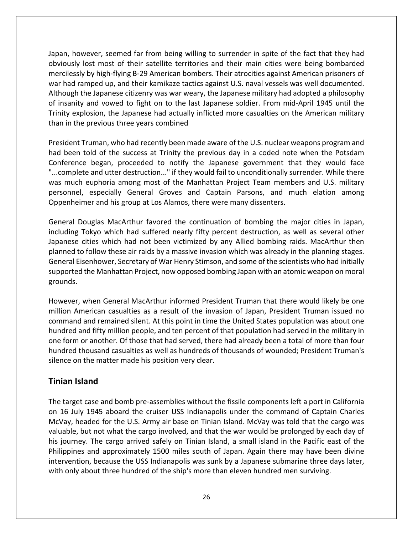Japan, however, seemed far from being willing to surrender in spite of the fact that they had obviously lost most of their satellite territories and their main cities were being bombarded mercilessly by high-flying B-29 American bombers. Their atrocities against American prisoners of war had ramped up, and their kamikaze tactics against U.S. naval vessels was well documented. Although the Japanese citizenry was war weary, the Japanese military had adopted a philosophy of insanity and vowed to fight on to the last Japanese soldier. From mid-April 1945 until the Trinity explosion, the Japanese had actually inflicted more casualties on the American military than in the previous three years combined

President Truman, who had recently been made aware of the U.S. nuclear weapons program and had been told of the success at Trinity the previous day in a coded note when the Potsdam Conference began, proceeded to notify the Japanese government that they would face "...complete and utter destruction..." if they would fail to unconditionally surrender. While there was much euphoria among most of the Manhattan Project Team members and U.S. military personnel, especially General Groves and Captain Parsons, and much elation among Oppenheimer and his group at Los Alamos, there were many dissenters.

General Douglas MacArthur favored the continuation of bombing the major cities in Japan, including Tokyo which had suffered nearly fifty percent destruction, as well as several other Japanese cities which had not been victimized by any Allied bombing raids. MacArthur then planned to follow these air raids by a massive invasion which was already in the planning stages. General Eisenhower, Secretary of War Henry Stimson, and some of the scientists who had initially supported the Manhattan Project, now opposed bombing Japan with an atomic weapon on moral grounds.

However, when General MacArthur informed President Truman that there would likely be one million American casualties as a result of the invasion of Japan, President Truman issued no command and remained silent. At this point in time the United States population was about one hundred and fifty million people, and ten percent of that population had served in the military in one form or another. Of those that had served, there had already been a total of more than four hundred thousand casualties as well as hundreds of thousands of wounded; President Truman's silence on the matter made his position very clear.

#### **Tinian Island**

The target case and bomb pre-assemblies without the fissile components left a port in California on 16 July 1945 aboard the cruiser USS Indianapolis under the command of Captain Charles McVay, headed for the U.S. Army air base on Tinian Island. McVay was told that the cargo was valuable, but not what the cargo involved, and that the war would be prolonged by each day of his journey. The cargo arrived safely on Tinian Island, a small island in the Pacific east of the Philippines and approximately 1500 miles south of Japan. Again there may have been divine intervention, because the USS Indianapolis was sunk by a Japanese submarine three days later, with only about three hundred of the ship's more than eleven hundred men surviving.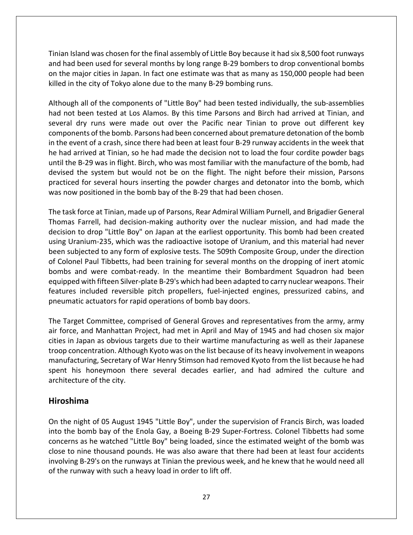Tinian Island was chosen for the final assembly of Little Boy because it had six 8,500 foot runways and had been used for several months by long range B-29 bombers to drop conventional bombs on the major cities in Japan. In fact one estimate was that as many as 150,000 people had been killed in the city of Tokyo alone due to the many B-29 bombing runs.

Although all of the components of "Little Boy" had been tested individually, the sub-assemblies had not been tested at Los Alamos. By this time Parsons and Birch had arrived at Tinian, and several dry runs were made out over the Pacific near Tinian to prove out different key components of the bomb. Parsons had been concerned about premature detonation of the bomb in the event of a crash, since there had been at least four B-29 runway accidents in the week that he had arrived at Tinian, so he had made the decision not to load the four cordite powder bags until the B-29 was in flight. Birch, who was most familiar with the manufacture of the bomb, had devised the system but would not be on the flight. The night before their mission, Parsons practiced for several hours inserting the powder charges and detonator into the bomb, which was now positioned in the bomb bay of the B-29 that had been chosen.

The task force at Tinian, made up of Parsons, Rear Admiral William Purnell, and Brigadier General Thomas Farrell, had decision-making authority over the nuclear mission, and had made the decision to drop "Little Boy" on Japan at the earliest opportunity. This bomb had been created using Uranium-235, which was the radioactive isotope of Uranium, and this material had never been subjected to any form of explosive tests. The 509th Composite Group, under the direction of Colonel Paul Tibbetts, had been training for several months on the dropping of inert atomic bombs and were combat-ready. In the meantime their Bombardment Squadron had been equipped with fifteen Silver-plate B-29's which had been adapted to carry nuclear weapons. Their features included reversible pitch propellers, fuel-injected engines, pressurized cabins, and pneumatic actuators for rapid operations of bomb bay doors.

The Target Committee, comprised of General Groves and representatives from the army, army air force, and Manhattan Project, had met in April and May of 1945 and had chosen six major cities in Japan as obvious targets due to their wartime manufacturing as well as their Japanese troop concentration. Although Kyoto was on the list because of its heavy involvement in weapons manufacturing, Secretary of War Henry Stimson had removed Kyoto from the list because he had spent his honeymoon there several decades earlier, and had admired the culture and architecture of the city.

#### **Hiroshima**

On the night of 05 August 1945 "Little Boy", under the supervision of Francis Birch, was loaded into the bomb bay of the Enola Gay, a Boeing B-29 Super-Fortress. Colonel Tibbetts had some concerns as he watched "Little Boy" being loaded, since the estimated weight of the bomb was close to nine thousand pounds. He was also aware that there had been at least four accidents involving B-29's on the runways at Tinian the previous week, and he knew that he would need all of the runway with such a heavy load in order to lift off.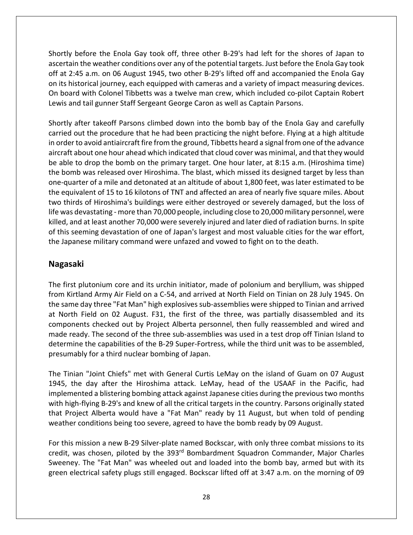Shortly before the Enola Gay took off, three other B-29's had left for the shores of Japan to ascertain the weather conditions over any of the potential targets. Just before the Enola Gay took off at 2:45 a.m. on 06 August 1945, two other B-29's lifted off and accompanied the Enola Gay on its historical journey, each equipped with cameras and a variety of impact measuring devices. On board with Colonel Tibbetts was a twelve man crew, which included co-pilot Captain Robert Lewis and tail gunner Staff Sergeant George Caron as well as Captain Parsons.

Shortly after takeoff Parsons climbed down into the bomb bay of the Enola Gay and carefully carried out the procedure that he had been practicing the night before. Flying at a high altitude in order to avoid antiaircraft fire from the ground, Tibbetts heard a signal from one of the advance aircraft about one hour ahead which indicated that cloud cover was minimal, and that they would be able to drop the bomb on the primary target. One hour later, at 8:15 a.m. (Hiroshima time) the bomb was released over Hiroshima. The blast, which missed its designed target by less than one-quarter of a mile and detonated at an altitude of about 1,800 feet, was later estimated to be the equivalent of 15 to 16 kilotons of TNT and affected an area of nearly five square miles. About two thirds of Hiroshima's buildings were either destroyed or severely damaged, but the loss of life was devastating - more than 70,000 people, including close to 20,000 military personnel, were killed, and at least another 70,000 were severely injured and later died of radiation burns. In spite of this seeming devastation of one of Japan's largest and most valuable cities for the war effort, the Japanese military command were unfazed and vowed to fight on to the death.

#### **Nagasaki**

The first plutonium core and its urchin initiator, made of polonium and beryllium, was shipped from Kirtland Army Air Field on a C-54, and arrived at North Field on Tinian on 28 July 1945. On the same day three "Fat Man" high explosives sub-assemblies were shipped to Tinian and arrived at North Field on 02 August. F31, the first of the three, was partially disassembled and its components checked out by Project Alberta personnel, then fully reassembled and wired and made ready. The second of the three sub-assemblies was used in a test drop off Tinian Island to determine the capabilities of the B-29 Super-Fortress, while the third unit was to be assembled, presumably for a third nuclear bombing of Japan.

The Tinian "Joint Chiefs" met with General Curtis LeMay on the island of Guam on 07 August 1945, the day after the Hiroshima attack. LeMay, head of the USAAF in the Pacific, had implemented a blistering bombing attack against Japanese cities during the previous two months with high-flying B-29's and knew of all the critical targets in the country. Parsons originally stated that Project Alberta would have a "Fat Man" ready by 11 August, but when told of pending weather conditions being too severe, agreed to have the bomb ready by 09 August.

For this mission a new B-29 Silver-plate named Bockscar, with only three combat missions to its credit, was chosen, piloted by the 393<sup>rd</sup> Bombardment Squadron Commander, Major Charles Sweeney. The "Fat Man" was wheeled out and loaded into the bomb bay, armed but with its green electrical safety plugs still engaged. Bockscar lifted off at 3:47 a.m. on the morning of 09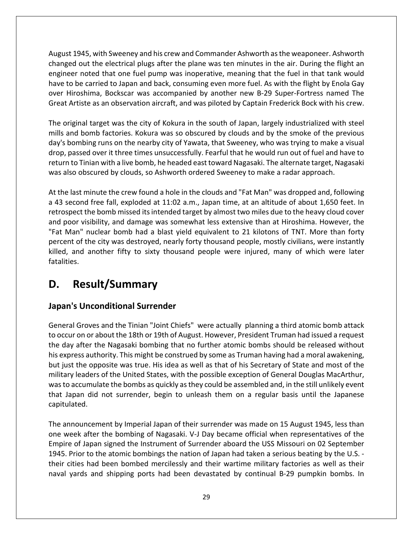August 1945, with Sweeney and his crew and Commander Ashworth as the weaponeer. Ashworth changed out the electrical plugs after the plane was ten minutes in the air. During the flight an engineer noted that one fuel pump was inoperative, meaning that the fuel in that tank would have to be carried to Japan and back, consuming even more fuel. As with the flight by Enola Gay over Hiroshima, Bockscar was accompanied by another new B-29 Super-Fortress named The Great Artiste as an observation aircraft, and was piloted by Captain Frederick Bock with his crew.

The original target was the city of Kokura in the south of Japan, largely industrialized with steel mills and bomb factories. Kokura was so obscured by clouds and by the smoke of the previous day's bombing runs on the nearby city of Yawata, that Sweeney, who was trying to make a visual drop, passed over it three times unsuccessfully. Fearful that he would run out of fuel and have to return to Tinian with a live bomb, he headed east toward Nagasaki. The alternate target, Nagasaki was also obscured by clouds, so Ashworth ordered Sweeney to make a radar approach.

At the last minute the crew found a hole in the clouds and "Fat Man" was dropped and, following a 43 second free fall, exploded at 11:02 a.m., Japan time, at an altitude of about 1,650 feet. In retrospect the bomb missed its intended target by almost two miles due to the heavy cloud cover and poor visibility, and damage was somewhat less extensive than at Hiroshima. However, the "Fat Man" nuclear bomb had a blast yield equivalent to 21 kilotons of TNT. More than forty percent of the city was destroyed, nearly forty thousand people, mostly civilians, were instantly killed, and another fifty to sixty thousand people were injured, many of which were later fatalities.

# **D. Result/Summary**

### **Japan's Unconditional Surrender**

General Groves and the Tinian "Joint Chiefs" were actually planning a third atomic bomb attack to occur on or about the 18th or 19th of August. However, President Truman had issued a request the day after the Nagasaki bombing that no further atomic bombs should be released without his express authority. This might be construed by some as Truman having had a moral awakening, but just the opposite was true. His idea as well as that of his Secretary of State and most of the military leaders of the United States, with the possible exception of General Douglas MacArthur, was to accumulate the bombs as quickly as they could be assembled and, in the still unlikely event that Japan did not surrender, begin to unleash them on a regular basis until the Japanese capitulated.

The announcement by Imperial Japan of their surrender was made on 15 August 1945, less than one week after the bombing of Nagasaki. V-J Day became official when representatives of the Empire of Japan signed the Instrument of Surrender aboard the USS Missouri on 02 September 1945. Prior to the atomic bombings the nation of Japan had taken a serious beating by the U.S. their cities had been bombed mercilessly and their wartime military factories as well as their naval yards and shipping ports had been devastated by continual B-29 pumpkin bombs. In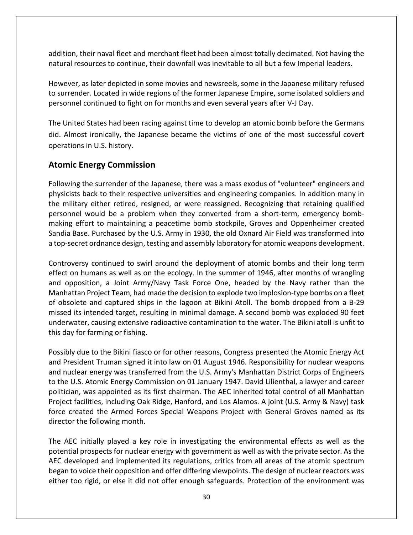addition, their naval fleet and merchant fleet had been almost totally decimated. Not having the natural resources to continue, their downfall was inevitable to all but a few Imperial leaders.

However, as later depicted in some movies and newsreels, some in the Japanese military refused to surrender. Located in wide regions of the former Japanese Empire, some isolated soldiers and personnel continued to fight on for months and even several years after V-J Day.

The United States had been racing against time to develop an atomic bomb before the Germans did. Almost ironically, the Japanese became the victims of one of the most successful covert operations in U.S. history.

#### **Atomic Energy Commission**

Following the surrender of the Japanese, there was a mass exodus of "volunteer" engineers and physicists back to their respective universities and engineering companies. In addition many in the military either retired, resigned, or were reassigned. Recognizing that retaining qualified personnel would be a problem when they converted from a short-term, emergency bombmaking effort to maintaining a peacetime bomb stockpile, Groves and Oppenheimer created Sandia Base. Purchased by the U.S. Army in 1930, the old Oxnard Air Field was transformed into a top-secret ordnance design, testing and assembly laboratory for atomic weapons development.

Controversy continued to swirl around the deployment of atomic bombs and their long term effect on humans as well as on the ecology. In the summer of 1946, after months of wrangling and opposition, a Joint Army/Navy Task Force One, headed by the Navy rather than the Manhattan Project Team, had made the decision to explode two implosion-type bombs on a fleet of obsolete and captured ships in the lagoon at Bikini Atoll. The bomb dropped from a B-29 missed its intended target, resulting in minimal damage. A second bomb was exploded 90 feet underwater, causing extensive radioactive contamination to the water. The Bikini atoll is unfit to this day for farming or fishing.

Possibly due to the Bikini fiasco or for other reasons, Congress presented the Atomic Energy Act and President Truman signed it into law on 01 August 1946. Responsibility for nuclear weapons and nuclear energy was transferred from the U.S. Army's Manhattan District Corps of Engineers to the U.S. Atomic Energy Commission on 01 January 1947. David Lilienthal, a lawyer and career politician, was appointed as its first chairman. The AEC inherited total control of all Manhattan Project facilities, including Oak Ridge, Hanford, and Los Alamos. A joint (U.S. Army & Navy) task force created the Armed Forces Special Weapons Project with General Groves named as its director the following month.

The AEC initially played a key role in investigating the environmental effects as well as the potential prospects for nuclear energy with government as well as with the private sector. As the AEC developed and implemented its regulations, critics from all areas of the atomic spectrum began to voice their opposition and offer differing viewpoints. The design of nuclear reactors was either too rigid, or else it did not offer enough safeguards. Protection of the environment was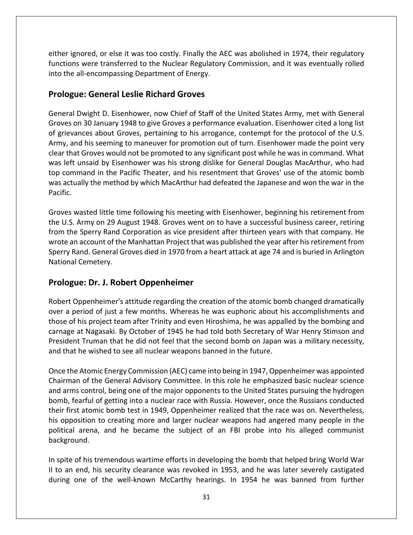either ignored, or else it was too costly. Finally the AEC was abolished in 1974, their regulatory functions were transferred to the Nuclear Regulatory Commission, and it was eventually rolled into the all-encompassing Department of Energy.

#### **Prologue: General Leslie Richard Groves**

General Dwight D. Eisenhower, now Chief of Staff of the United States Army, met with General Groves on 30 January 1948 to give Groves a performance evaluation. Eisenhower cited a long list of grievances about Groves, pertaining to his arrogance, contempt for the protocol of the U.S. Army, and his seeming to maneuver for promotion out of turn. Eisenhower made the point very clear that Groves would not be promoted to any significant post while he was in command. What was left unsaid by Eisenhower was his strong dislike for General Douglas MacArthur, who had top command in the Pacific Theater, and his resentment that Groves' use of the atomic bomb was actually the method by which MacArthur had defeated the Japanese and won the war in the Pacific.

Groves wasted little time following his meeting with Eisenhower, beginning his retirement from the U.S. Army on 29 August 1948. Groves went on to have a successful business career, retiring from the Sperry Rand Corporation as vice president after thirteen years with that company. He wrote an account of the Manhattan Project that was published the year after his retirement from Sperry Rand. General Groves died in 1970 from a heart attack at age 74 and is buried in Arlington National Cemetery.

#### **Prologue: Dr. J. Robert Oppenheimer**

Robert Oppenheimer's attitude regarding the creation of the atomic bomb changed dramatically over a period of just a few months. Whereas he was euphoric about his accomplishments and those of his project team after Trinity and even Hiroshima, he was appalled by the bombing and carnage at Nagasaki. By October of 1945 he had told both Secretary of War Henry Stimson and President Truman that he did not feel that the second bomb on Japan was a military necessity, and that he wished to see all nuclear weapons banned in the future.

Once the Atomic Energy Commission (AEC) came into being in 1947, Oppenheimer was appointed Chairman of the General Advisory Committee. In this role he emphasized basic nuclear science and arms control, being one of the major opponents to the United States pursuing the hydrogen bomb, fearful of getting into a nuclear race with Russia. However, once the Russians conducted their first atomic bomb test in 1949, Oppenheimer realized that the race was on. Nevertheless, his opposition to creating more and larger nuclear weapons had angered many people in the political arena, and he became the subject of an FBI probe into his alleged communist background.

In spite of his tremendous wartime efforts in developing the bomb that helped bring World War II to an end, his security clearance was revoked in 1953, and he was later severely castigated during one of the well-known McCarthy hearings. In 1954 he was banned from further